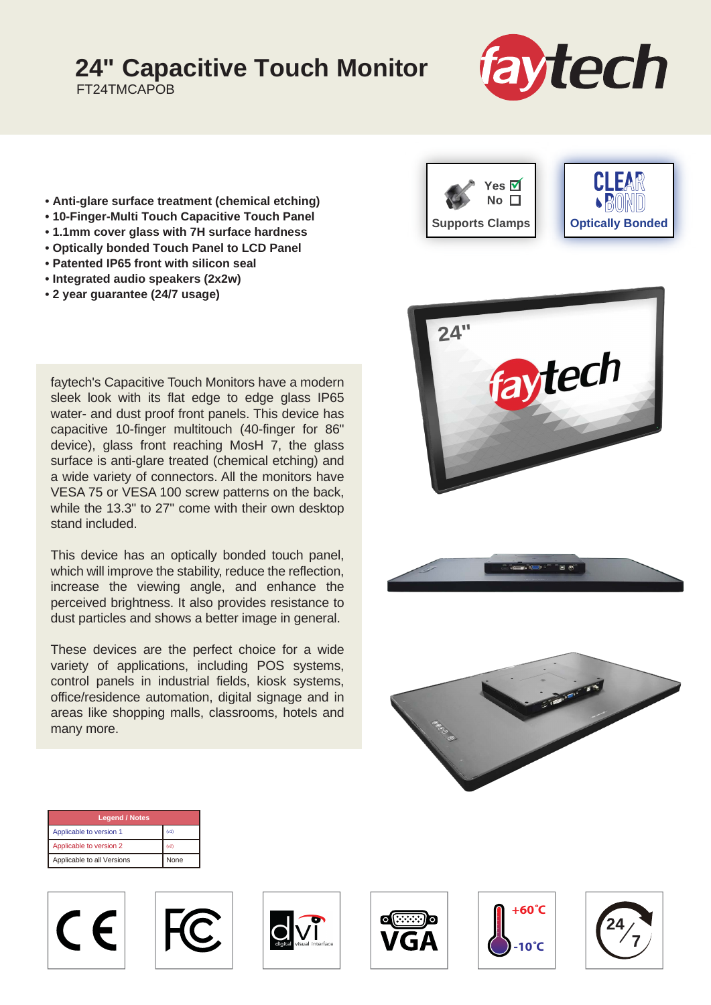## **24" Capacitive Touch Monitor**

FT24TMCAPOB



- **Anti-glare surface treatment (chemical etching)**
- **10-Finger-Multi Touch Capacitive Touch Panel**
- **1.1mm cover glass with 7H surface hardness**
- **Optically bonded Touch Panel to LCD Panel**
- **Patented IP65 front with silicon seal**
- **Integrated audio speakers (2x2w)**
- **2 year guarantee (24/7 usage)**

faytech's Capacitive Touch Monitors have a modern sleek look with its flat edge to edge glass IP65 water- and dust proof front panels. This device has capacitive 10-finger multitouch (40-finger for 86" device), glass front reaching MosH 7, the glass surface is anti-glare treated (chemical etching) and a wide variety of connectors. All the monitors have VESA 75 or VESA 100 screw patterns on the back, while the 13.3" to 27" come with their own desktop stand included.

This device has an optically bonded touch panel, which will improve the stability, reduce the reflection, increase the viewing angle, and enhance the perceived brightness. It also provides resistance to dust particles and shows a better image in general.

These devices are the perfect choice for a wide variety of applications, including POS systems, control panels in industrial fields, kiosk systems, office/residence automation, digital signage and in areas like shopping malls, classrooms, hotels and many more.







| <b>Legend / Notes</b>      |      |
|----------------------------|------|
| Applicable to version 1    | (v1) |
| Applicable to version 2    | (v2) |
| Applicable to all Versions | None |









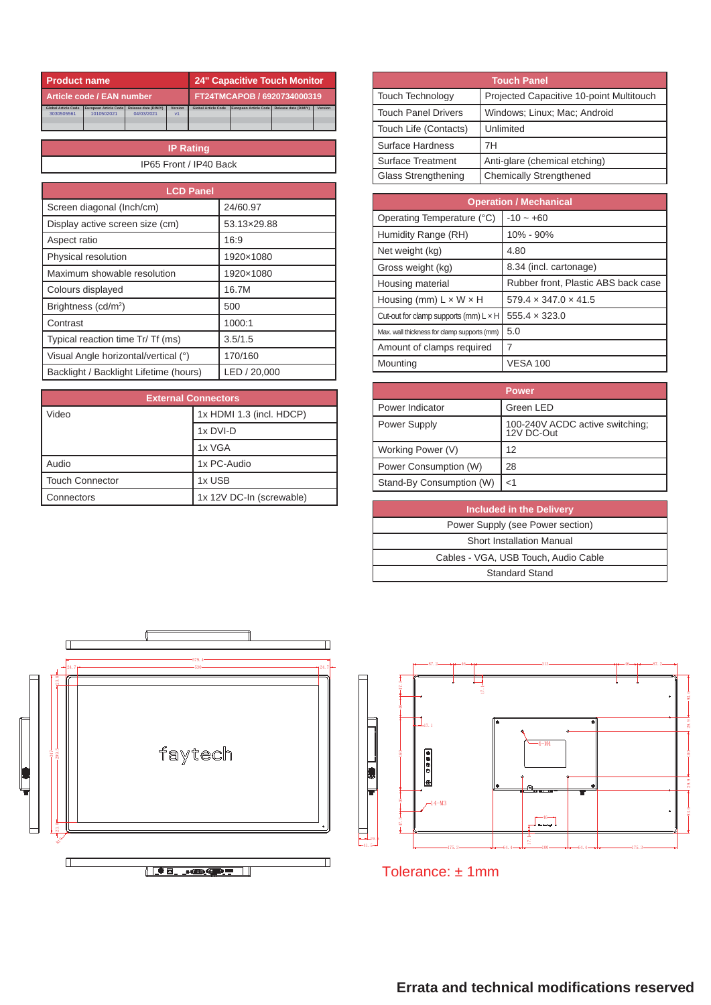|                            | <b>Product name</b>   |                             | 24" Capacitive Touch Monitor |                            |                       |                      |         |
|----------------------------|-----------------------|-----------------------------|------------------------------|----------------------------|-----------------------|----------------------|---------|
| Article code / EAN number  |                       | FT24TMCAPOB / 6920734000319 |                              |                            |                       |                      |         |
| <b>Global Article Code</b> | European Article Code | Release date (D/M/Y)        | Version                      | <b>Global Article Code</b> | European Article Code | Release date (D/M/Y) | Version |
| 3030505561                 | 1010502021            | 04/03/2021                  | v <sub>1</sub>               |                            |                       |                      |         |
|                            |                       |                             |                              |                            |                       |                      |         |
|                            |                       |                             |                              |                            |                       |                      |         |

| <b>IP Rating</b>       |  |
|------------------------|--|
| IP65 Front / IP40 Back |  |

| <b>LCD Panel</b>                       |              |  |
|----------------------------------------|--------------|--|
| Screen diagonal (Inch/cm)              | 24/60.97     |  |
| Display active screen size (cm)        | 53.13×29.88  |  |
| Aspect ratio                           | 16:9         |  |
| Physical resolution                    | 1920×1080    |  |
| Maximum showable resolution            | 1920×1080    |  |
| Colours displayed                      | 16.7M        |  |
| Brightness (cd/m <sup>2</sup> )        | 500          |  |
| Contrast                               | 1000:1       |  |
| Typical reaction time Tr/ Tf (ms)      | 3.5/1.5      |  |
| Visual Angle horizontal/vertical (°)   | 170/160      |  |
| Backlight / Backlight Lifetime (hours) | LED / 20,000 |  |

| <b>External Connectors</b> |                          |  |  |
|----------------------------|--------------------------|--|--|
| Video                      | 1x HDMI 1.3 (incl. HDCP) |  |  |
|                            | 1x DVI-D                 |  |  |
|                            | 1x VGA                   |  |  |
| Audio                      | 1x PC-Audio              |  |  |
| <b>Touch Connector</b>     | 1x USB                   |  |  |
| Connectors                 | 1x 12V DC-In (screwable) |  |  |

| <b>24" Capacitive Touch Monitor</b>                                                   | <b>Touch Panel</b>         |                                          |  |
|---------------------------------------------------------------------------------------|----------------------------|------------------------------------------|--|
| FT24TMCAPOB / 6920734000319                                                           | <b>Touch Technology</b>    | Projected Capacitive 10-point Multitouch |  |
| <b>Jobal Article Code</b><br>Release date (D/M/Y)<br>European Article Code<br>Version | <b>Touch Panel Drivers</b> | Windows: Linux: Mac: Android             |  |
|                                                                                       | Touch Life (Contacts)      | Unlimited                                |  |
| ing                                                                                   | Surface Hardness           | 7H                                       |  |
| IP40 Back                                                                             | Surface Treatment          | Anti-glare (chemical etching)            |  |
|                                                                                       | <b>Glass Strengthening</b> | Chemically Strengthened                  |  |

| <b>Operation / Mechanical</b>                |                                     |  |  |
|----------------------------------------------|-------------------------------------|--|--|
| Operating Temperature (°C)                   | $-10 - +60$                         |  |  |
| Humidity Range (RH)                          | 10% - 90%                           |  |  |
| Net weight (kg)                              | 4.80                                |  |  |
| Gross weight (kg)                            | 8.34 (incl. cartonage)              |  |  |
| Housing material                             | Rubber front, Plastic ABS back case |  |  |
| Housing (mm) $L \times W \times H$           | $579.4 \times 347.0 \times 41.5$    |  |  |
| Cut-out for clamp supports (mm) $L \times H$ | $555.4 \times 323.0$                |  |  |
| Max. wall thickness for clamp supports (mm)  | 5.0                                 |  |  |
| Amount of clamps required                    |                                     |  |  |
| Mounting                                     | <b>VESA 100</b>                     |  |  |

|                          | <b>Power</b>                                  |
|--------------------------|-----------------------------------------------|
| Power Indicator          | Green LED                                     |
| Power Supply             | 100-240V ACDC active switching;<br>12V DC-Out |
| Working Power (V)        | 12                                            |
| Power Consumption (W)    | 28                                            |
| Stand-By Consumption (W) | $<$ 1                                         |

| <b>Included in the Delivery</b>      |
|--------------------------------------|
| Power Supply (see Power section)     |
| <b>Short Installation Manual</b>     |
| Cables - VGA, USB Touch, Audio Cable |
| Standard Stand                       |





Tolerance: ± 1mm